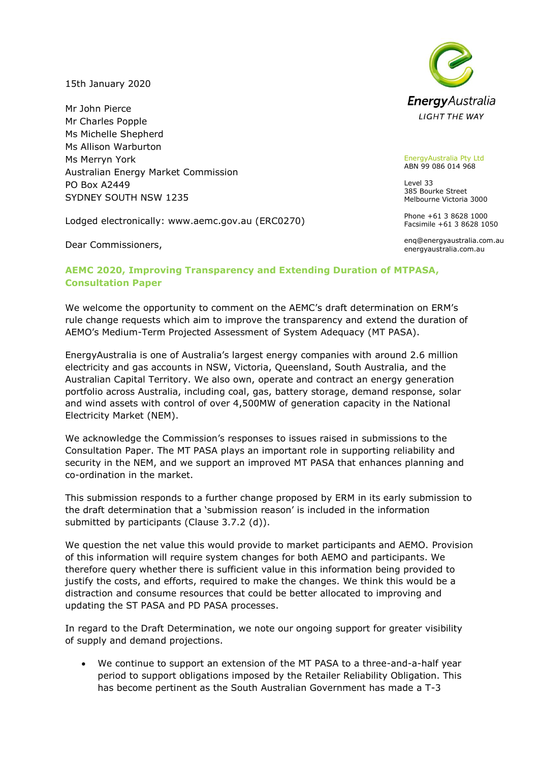15th January 2020

Mr John Pierce Mr Charles Popple Ms Michelle Shepherd Ms Allison Warburton Ms Merryn York Australian Energy Market Commission PO Box A2449 SYDNEY SOUTH NSW 1235

Lodged electronically: www.aemc.gov.au (ERC0270)

Dear Commissioners,



EnergyAustralia Pty Ltd ABN 99 086 014 968

Level 33 385 Bourke Street Melbourne Victoria 3000

Phone +61 3 8628 1000 Facsimile +61 3 8628 1050

enq@energyaustralia.com.au energyaustralia.com.au

## **AEMC 2020, Improving Transparency and Extending Duration of MTPASA, Consultation Paper**

We welcome the opportunity to comment on the AEMC's draft determination on ERM's rule change requests which aim to improve the transparency and extend the duration of AEMO's Medium-Term Projected Assessment of System Adequacy (MT PASA).

EnergyAustralia is one of Australia's largest energy companies with around 2.6 million electricity and gas accounts in NSW, Victoria, Queensland, South Australia, and the Australian Capital Territory. We also own, operate and contract an energy generation portfolio across Australia, including coal, gas, battery storage, demand response, solar and wind assets with control of over 4,500MW of generation capacity in the National Electricity Market (NEM).

We acknowledge the Commission's responses to issues raised in submissions to the Consultation Paper. The MT PASA plays an important role in supporting reliability and security in the NEM, and we support an improved MT PASA that enhances planning and co-ordination in the market.

This submission responds to a further change proposed by ERM in its early submission to the draft determination that a 'submission reason' is included in the information submitted by participants (Clause 3.7.2 (d)).

We question the net value this would provide to market participants and AEMO. Provision of this information will require system changes for both AEMO and participants. We therefore query whether there is sufficient value in this information being provided to justify the costs, and efforts, required to make the changes. We think this would be a distraction and consume resources that could be better allocated to improving and updating the ST PASA and PD PASA processes.

In regard to the Draft Determination, we note our ongoing support for greater visibility of supply and demand projections.

• We continue to support an extension of the MT PASA to a three-and-a-half year period to support obligations imposed by the Retailer Reliability Obligation. This has become pertinent as the South Australian Government has made a T-3